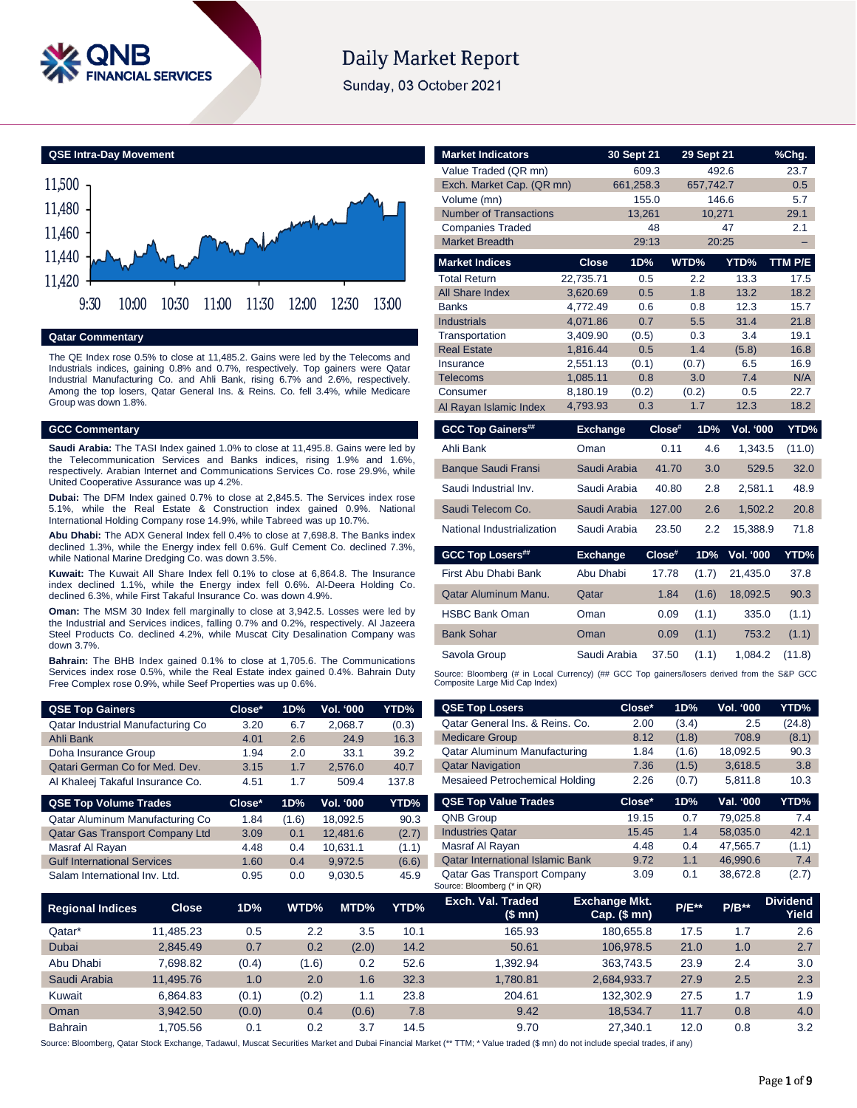

# **Daily Market Report**

Sunday, 03 October 2021

**QSE Intra-Day Movement**



### **Qatar Commentary**

The QE Index rose 0.5% to close at 11,485.2. Gains were led by the Telecoms and Industrials indices, gaining 0.8% and 0.7%, respectively. Top gainers were Qatar Industrial Manufacturing Co. and Ahli Bank, rising 6.7% and 2.6%, respectively. Among the top losers, Qatar General Ins. & Reins. Co. fell 3.4%, while Medicare Group was down 1.8%.

# **GCC Commentary**

**Saudi Arabia:** The TASI Index gained 1.0% to close at 11,495.8. Gains were led by the Telecommunication Services and Banks indices, rising 1.9% and 1.6%, respectively. Arabian Internet and Communications Services Co. rose 29.9%, while United Cooperative Assurance was up 4.2%.

**Dubai:** The DFM Index gained 0.7% to close at 2,845.5. The Services index rose 5.1%, while the Real Estate & Construction index gained 0.9%. National International Holding Company rose 14.9%, while Tabreed was up 10.7%.

**Abu Dhabi:** The ADX General Index fell 0.4% to close at 7,698.8. The Banks index declined 1.3%, while the Energy index fell 0.6%. Gulf Cement Co. declined 7.3%, while National Marine Dredging Co. was down 3.5%.

**Kuwait:** The Kuwait All Share Index fell 0.1% to close at 6,864.8. The Insurance index declined 1.1%, while the Energy index fell 0.6%. Al-Deera Holding Co. declined 6.3%, while First Takaful Insurance Co. was down 4.9%.

**Oman:** The MSM 30 Index fell marginally to close at 3,942.5. Losses were led by the Industrial and Services indices, falling 0.7% and 0.2%, respectively. Al Jazeera Steel Products Co. declined 4.2%, while Muscat City Desalination Company was down 3.7%.

**Bahrain:** The BHB Index gained 0.1% to close at 1,705.6. The Communications Services index rose 0.5%, while the Real Estate index gained 0.4%. Bahrain Duty Free Complex rose 0.9%, while Seef Properties was up 0.6%.

| <b>QSE Top Gainers</b>            | Close* | 1D% | <b>Vol. '000</b> | YTD%  |
|-----------------------------------|--------|-----|------------------|-------|
| Qatar Industrial Manufacturing Co | 3.20   | 6.7 | 2.068.7          | (0.3) |
| Ahli Bank                         | 4.01   | 2.6 | 24.9             | 16.3  |
| Doha Insurance Group              | 1.94   | 2.0 | 33.1             | 39.2  |
| Qatari German Co for Med. Dev.    | 3.15   | 1.7 | 2.576.0          | 40.7  |
| Al Khaleej Takaful Insurance Co.  | 4.51   | 1.7 | 509.4            | 137.8 |

| <b>QSE Top Volume Trades</b>       | Close* | 1D%   | Vol. '000 | YTD%  |
|------------------------------------|--------|-------|-----------|-------|
| Qatar Aluminum Manufacturing Co    | 1.84   | (1.6) | 18.092.5  | 90.3  |
| Qatar Gas Transport Company Ltd    | 3.09   | 0.1   | 12.481.6  | (2.7) |
| Masraf Al Rayan                    | 4.48   | 0.4   | 10.631.1  | (1.1) |
| <b>Gulf International Services</b> | 1.60   | 0.4   | 9.972.5   | (6.6) |
| Salam International Inv. Ltd.      | 0.95   | 0.0   | 9.030.5   | 45.9  |

| 492.6<br>657.742.7<br>146.6<br>10.271<br>47<br>20:25<br>YTD%<br>13.3<br>13.2<br>12.3<br>31.4<br>3.4<br>(5.8)<br>6.5 | 23.7<br>0.5<br>5.7<br>29.1<br>2.1<br>-<br>TTM P/E<br>17.5<br>18.2<br>15.7<br>21.8<br>19.1<br>16.8 |
|---------------------------------------------------------------------------------------------------------------------|---------------------------------------------------------------------------------------------------|
|                                                                                                                     |                                                                                                   |
|                                                                                                                     |                                                                                                   |
|                                                                                                                     |                                                                                                   |
|                                                                                                                     |                                                                                                   |
|                                                                                                                     |                                                                                                   |
|                                                                                                                     |                                                                                                   |
|                                                                                                                     |                                                                                                   |
|                                                                                                                     |                                                                                                   |
|                                                                                                                     |                                                                                                   |
|                                                                                                                     |                                                                                                   |
|                                                                                                                     |                                                                                                   |
|                                                                                                                     |                                                                                                   |
|                                                                                                                     |                                                                                                   |
| 7.4                                                                                                                 | 16.9                                                                                              |
| 0.5                                                                                                                 | N/A<br>22.7                                                                                       |
| 12.3                                                                                                                | 18.2                                                                                              |
|                                                                                                                     |                                                                                                   |
| Vol. '000                                                                                                           | YTD%                                                                                              |
| 1.343.5                                                                                                             | (11.0)                                                                                            |
| 529.5                                                                                                               | 32.0                                                                                              |
| 2.581.1                                                                                                             | 48.9                                                                                              |
| 1,502.2                                                                                                             | 20.8                                                                                              |
| 15,388.9                                                                                                            | 71.8                                                                                              |
| <b>Vol. '000</b>                                                                                                    | YTD%                                                                                              |
| 21.435.0                                                                                                            | 37.8                                                                                              |
| 18,092.5                                                                                                            | 90.3                                                                                              |
| 335.0                                                                                                               | (1.1)                                                                                             |
| 753.2                                                                                                               | (1.1)                                                                                             |
| 1.084.2                                                                                                             | (11.8)                                                                                            |
|                                                                                                                     | Source: Bloomberg (# in Local Currency) (## GCC Top gainers/losers derived from the S&P GCC       |

| <b>QSE Top Losers</b>                   | Close* | 1D%   | Vol. '000 | YTD%   |
|-----------------------------------------|--------|-------|-----------|--------|
| Qatar General Ins. & Reins. Co.         | 2.00   | (3.4) | 2.5       | (24.8) |
| <b>Medicare Group</b>                   | 8.12   | (1.8) | 708.9     | (8.1)  |
| Qatar Aluminum Manufacturing            | 1.84   | (1.6) | 18,092.5  | 90.3   |
| <b>Qatar Navigation</b>                 | 7.36   | (1.5) | 3,618.5   | 3.8    |
| Mesaieed Petrochemical Holding          | 2.26   | (0.7) | 5,811.8   | 10.3   |
| <b>QSE Top Value Trades</b>             | Close* | 1D%   | Val. '000 | YTD%   |
| <b>QNB Group</b>                        | 19.15  | 0.7   | 79.025.8  | 7.4    |
| <b>Industries Qatar</b>                 | 15.45  | 1.4   | 58,035.0  | 42.1   |
| Masraf Al Rayan                         | 4.48   | 0.4   | 47,565.7  | (1.1)  |
| <b>Qatar International Islamic Bank</b> | 9.72   | 1.1   | 46.990.6  | 7.4    |

Qatar Gas Transport Company 3.09 0.1 38,672.8 (2.7)

|                         |              |       |       |       |      | Source: Bloomberg (* in QR)  |                                          |              |         |                          |
|-------------------------|--------------|-------|-------|-------|------|------------------------------|------------------------------------------|--------------|---------|--------------------------|
| <b>Regional Indices</b> | <b>Close</b> | 1D%   | WTD%  | MTD%  | YTD% | Exch. Val. Traded<br>(\$ mn) | <b>Exchange Mkt.</b><br>Cap. $($$ mn $)$ | <b>P/E**</b> | $P/B**$ | <b>Dividend</b><br>Yield |
| Qatar*                  | 11.485.23    | 0.5   | 2.2   | 3.5   | 10.1 | 165.93                       | 180.655.8                                | 17.5         | 1.7     | 2.6                      |
| Dubai                   | 2.845.49     | 0.7   | 0.2   | (2.0) | 14.2 | 50.61                        | 106.978.5                                | 21.0         | 1.0     | 2.7                      |
| Abu Dhabi               | 7.698.82     | (0.4) | (1.6) | 0.2   | 52.6 | 1.392.94                     | 363.743.5                                | 23.9         | 2.4     | 3.0                      |
| Saudi Arabia            | 11,495.76    | 1.0   | 2.0   | 1.6   | 32.3 | 1,780.81                     | 2,684,933.7                              | 27.9         | 2.5     | 2.3                      |
| Kuwait                  | 6.864.83     | (0.1) | (0.2) | 1.1   | 23.8 | 204.61                       | 132.302.9                                | 27.5         | 1.7     | 1.9                      |
| Oman                    | 3.942.50     | (0.0) | 0.4   | (0.6) | 7.8  | 9.42                         | 18.534.7                                 | 11.7         | 0.8     | 4.0                      |
| <b>Bahrain</b>          | .705.56      | 0.1   | 0.2   | 3.7   | 14.5 | 9.70                         | 27.340.1                                 | 12.0         | 0.8     | 3.2                      |

Source: Bloomberg, Qatar Stock Exchange, Tadawul, Muscat Securities Market and Dubai Financial Market (\*\* TTM; \* Value traded (\$ mn) do not include special trades, if any)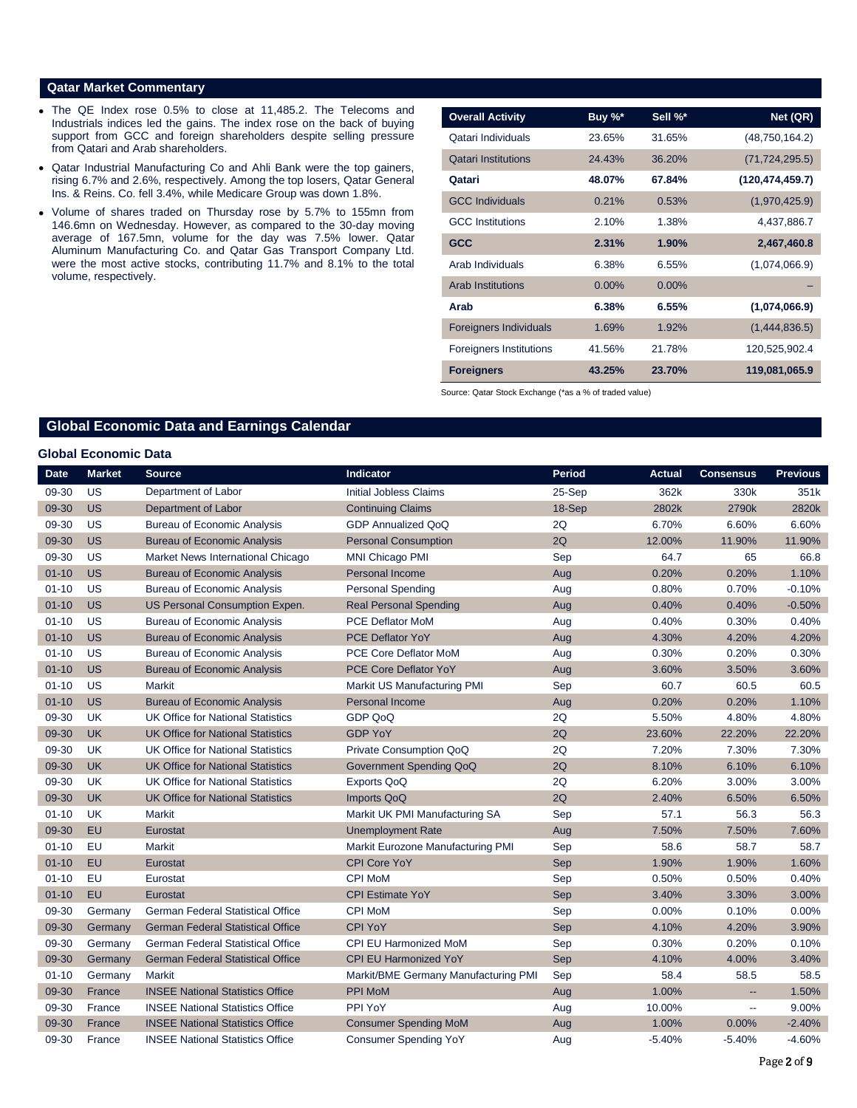# **Qatar Market Commentary**

- The QE Index rose 0.5% to close at 11,485.2. The Telecoms and Industrials indices led the gains. The index rose on the back of buying support from GCC and foreign shareholders despite selling pressure from Qatari and Arab shareholders.
- Qatar Industrial Manufacturing Co and Ahli Bank were the top gainers, rising 6.7% and 2.6%, respectively. Among the top losers, Qatar General Ins. & Reins. Co. fell 3.4%, while Medicare Group was down 1.8%.
- Volume of shares traded on Thursday rose by 5.7% to 155mn from 146.6mn on Wednesday. However, as compared to the 30-day moving average of 167.5mn, volume for the day was 7.5% lower. Qatar Aluminum Manufacturing Co. and Qatar Gas Transport Company Ltd. were the most active stocks, contributing 11.7% and 8.1% to the total volume, respectively.

| <b>Overall Activity</b>        | Buy $\%^*$ | Sell %*  | Net (QR)          |
|--------------------------------|------------|----------|-------------------|
| Qatari Individuals             | 23.65%     | 31.65%   | (48, 750, 164.2)  |
| <b>Qatari Institutions</b>     | 24.43%     | 36.20%   | (71, 724, 295.5)  |
| Qatari                         | 48.07%     | 67.84%   | (120, 474, 459.7) |
| <b>GCC Individuals</b>         | 0.21%      | 0.53%    | (1,970,425.9)     |
| <b>GCC</b> Institutions        | 2.10%      | 1.38%    | 4,437,886.7       |
| <b>GCC</b>                     | 2.31%      | 1.90%    | 2,467,460.8       |
| Arab Individuals               | 6.38%      | 6.55%    | (1,074,066.9)     |
| <b>Arab Institutions</b>       | $0.00\%$   | $0.00\%$ |                   |
| Arab                           | 6.38%      | 6.55%    | (1,074,066.9)     |
| <b>Foreigners Individuals</b>  | 1.69%      | 1.92%    | (1,444,836.5)     |
| <b>Foreigners Institutions</b> | 41.56%     | 21.78%   | 120,525,902.4     |
| <b>Foreigners</b>              | 43.25%     | 23.70%   | 119,081,065.9     |

Source: Qatar Stock Exchange (\*as a % of traded value)

# **Global Economic Data and Earnings Calendar**

# **Global Economic Data**

| <b>Date</b> | <b>Market</b> | <b>Source</b>                            | Indicator                            | <b>Period</b> | <b>Actual</b> | <b>Consensus</b>         | <b>Previous</b> |
|-------------|---------------|------------------------------------------|--------------------------------------|---------------|---------------|--------------------------|-----------------|
| 09-30       | US            | Department of Labor                      | <b>Initial Jobless Claims</b>        | 25-Sep        | 362k          | 330k                     | 351k            |
| 09-30       | <b>US</b>     | Department of Labor                      | <b>Continuing Claims</b>             | 18-Sep        | 2802k         | 2790k                    | 2820k           |
| 09-30       | US            | <b>Bureau of Economic Analysis</b>       | <b>GDP Annualized QoQ</b>            | 2Q            | 6.70%         | 6.60%                    | 6.60%           |
| 09-30       | <b>US</b>     | <b>Bureau of Economic Analysis</b>       | <b>Personal Consumption</b>          | 2Q            | 12.00%        | 11.90%                   | 11.90%          |
| 09-30       | <b>US</b>     | Market News International Chicago        | <b>MNI Chicago PMI</b>               | Sep           | 64.7          | 65                       | 66.8            |
| $01 - 10$   | <b>US</b>     | <b>Bureau of Economic Analysis</b>       | <b>Personal Income</b>               | Aug           | 0.20%         | 0.20%                    | 1.10%           |
| $01 - 10$   | US            | <b>Bureau of Economic Analysis</b>       | <b>Personal Spending</b>             | Aug           | 0.80%         | 0.70%                    | $-0.10%$        |
| $01 - 10$   | <b>US</b>     | US Personal Consumption Expen.           | <b>Real Personal Spending</b>        | Aug           | 0.40%         | 0.40%                    | $-0.50%$        |
| $01 - 10$   | <b>US</b>     | <b>Bureau of Economic Analysis</b>       | <b>PCE Deflator MoM</b>              | Aug           | 0.40%         | 0.30%                    | 0.40%           |
| $01 - 10$   | <b>US</b>     | <b>Bureau of Economic Analysis</b>       | <b>PCE Deflator YoY</b>              | Aug           | 4.30%         | 4.20%                    | 4.20%           |
| $01 - 10$   | US            | <b>Bureau of Economic Analysis</b>       | PCE Core Deflator MoM                | Aug           | 0.30%         | 0.20%                    | 0.30%           |
| $01 - 10$   | <b>US</b>     | <b>Bureau of Economic Analysis</b>       | <b>PCE Core Deflator YoY</b>         | Aug           | 3.60%         | 3.50%                    | 3.60%           |
| $01 - 10$   | US            | <b>Markit</b>                            | Markit US Manufacturing PMI          | Sep           | 60.7          | 60.5                     | 60.5            |
| $01 - 10$   | <b>US</b>     | <b>Bureau of Economic Analysis</b>       | <b>Personal Income</b>               | Aug           | 0.20%         | 0.20%                    | 1.10%           |
| 09-30       | <b>UK</b>     | <b>UK Office for National Statistics</b> | <b>GDP QoQ</b>                       | 2Q            | 5.50%         | 4.80%                    | 4.80%           |
| 09-30       | <b>UK</b>     | <b>UK Office for National Statistics</b> | <b>GDP YoY</b>                       | 2Q            | 23.60%        | 22.20%                   | 22.20%          |
| 09-30       | UK            | <b>UK Office for National Statistics</b> | Private Consumption QoQ              | 2Q            | 7.20%         | 7.30%                    | 7.30%           |
| 09-30       | <b>UK</b>     | <b>UK Office for National Statistics</b> | Government Spending QoQ              | 2Q            | 8.10%         | 6.10%                    | 6.10%           |
| 09-30       | UK            | <b>UK Office for National Statistics</b> | Exports QoQ                          | 2Q            | 6.20%         | 3.00%                    | 3.00%           |
| 09-30       | <b>UK</b>     | <b>UK Office for National Statistics</b> | Imports QoQ                          | 2Q            | 2.40%         | 6.50%                    | 6.50%           |
| $01 - 10$   | <b>UK</b>     | Markit                                   | Markit UK PMI Manufacturing SA       | Sep           | 57.1          | 56.3                     | 56.3            |
| 09-30       | EU            | Eurostat                                 | <b>Unemployment Rate</b>             | Aug           | 7.50%         | 7.50%                    | 7.60%           |
| $01 - 10$   | EU            | Markit                                   | Markit Eurozone Manufacturing PMI    | Sep           | 58.6          | 58.7                     | 58.7            |
| $01 - 10$   | EU            | Eurostat                                 | <b>CPI Core YoY</b>                  | Sep           | 1.90%         | 1.90%                    | 1.60%           |
| $01 - 10$   | EU            | Eurostat                                 | <b>CPI MoM</b>                       | Sep           | 0.50%         | 0.50%                    | 0.40%           |
| $01 - 10$   | EU            | Eurostat                                 | <b>CPI Estimate YoY</b>              | Sep           | 3.40%         | 3.30%                    | 3.00%           |
| 09-30       | Germany       | <b>German Federal Statistical Office</b> | <b>CPI MoM</b>                       | Sep           | $0.00\%$      | 0.10%                    | $0.00\%$        |
| 09-30       | Germany       | <b>German Federal Statistical Office</b> | <b>CPI YoY</b>                       | Sep           | 4.10%         | 4.20%                    | 3.90%           |
| 09-30       | Germany       | <b>German Federal Statistical Office</b> | <b>CPI EU Harmonized MoM</b>         | Sep           | 0.30%         | 0.20%                    | 0.10%           |
| 09-30       | Germany       | <b>German Federal Statistical Office</b> | <b>CPI EU Harmonized YoY</b>         | <b>Sep</b>    | 4.10%         | 4.00%                    | 3.40%           |
| $01 - 10$   | Germany       | <b>Markit</b>                            | Markit/BME Germany Manufacturing PMI | Sep           | 58.4          | 58.5                     | 58.5            |
| 09-30       | France        | <b>INSEE National Statistics Office</b>  | <b>PPI MoM</b>                       | Aug           | 1.00%         |                          | 1.50%           |
| 09-30       | France        | <b>INSEE National Statistics Office</b>  | PPI YoY                              | Aug           | 10.00%        | $\overline{\phantom{a}}$ | 9.00%           |
| 09-30       | France        | <b>INSEE National Statistics Office</b>  | <b>Consumer Spending MoM</b>         | Aug           | 1.00%         | 0.00%                    | $-2.40%$        |
| 09-30       | France        | <b>INSEE National Statistics Office</b>  | <b>Consumer Spending YoY</b>         | Aug           | $-5.40%$      | $-5.40%$                 | $-4.60%$        |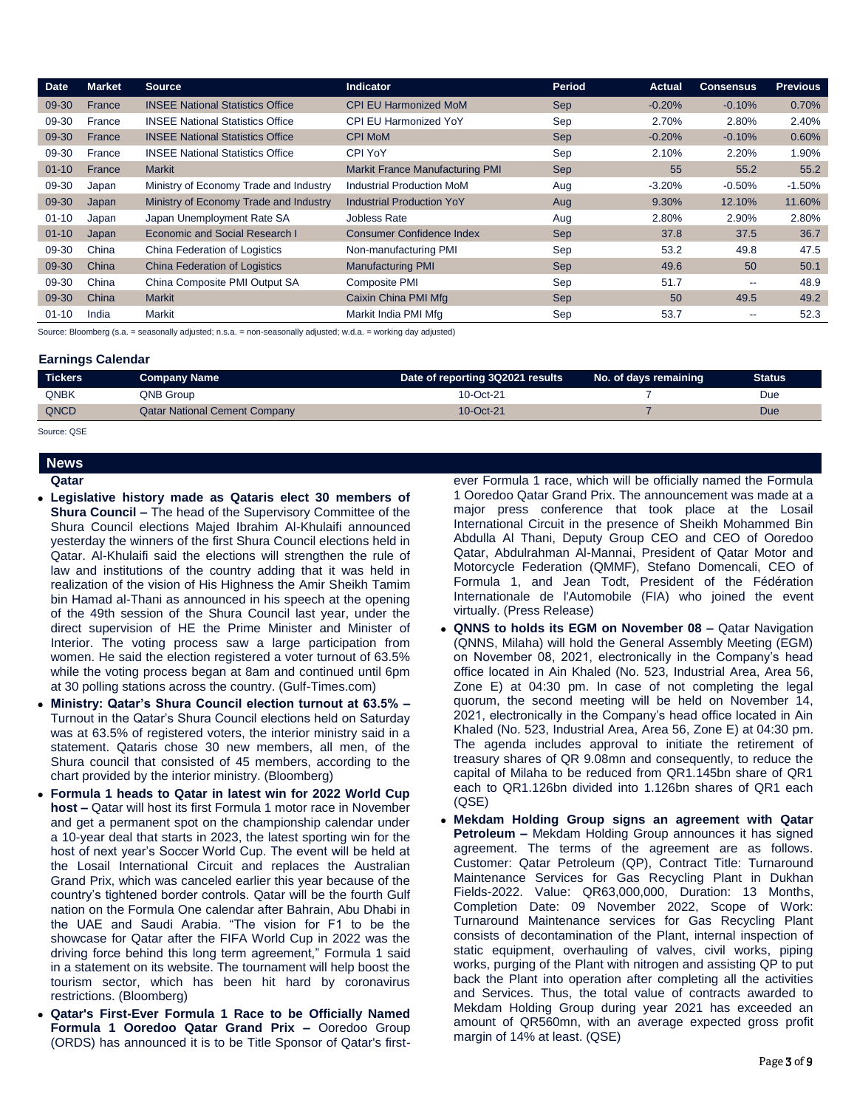| <b>Date</b> | <b>Market</b> | <b>Source</b>                           | <b>Indicator</b>                       | Period     | Actual   | <b>Consensus</b>         | <b>Previous</b> |
|-------------|---------------|-----------------------------------------|----------------------------------------|------------|----------|--------------------------|-----------------|
| 09-30       | France        | <b>INSEE National Statistics Office</b> | <b>CPI EU Harmonized MoM</b>           | <b>Sep</b> | $-0.20%$ | $-0.10%$                 | 0.70%           |
| 09-30       | France        | <b>INSEE National Statistics Office</b> | <b>CPI EU Harmonized YoY</b>           | Sep        | 2.70%    | 2.80%                    | 2.40%           |
| 09-30       | France        | <b>INSEE National Statistics Office</b> | <b>CPI MoM</b>                         | <b>Sep</b> | $-0.20%$ | $-0.10%$                 | 0.60%           |
| 09-30       | France        | <b>INSEE National Statistics Office</b> | CPI YoY                                | Sep        | 2.10%    | 2.20%                    | 1.90%           |
| $01 - 10$   | France        | <b>Markit</b>                           | <b>Markit France Manufacturing PMI</b> | <b>Sep</b> | 55       | 55.2                     | 55.2            |
| 09-30       | Japan         | Ministry of Economy Trade and Industry  | <b>Industrial Production MoM</b>       | Aug        | $-3.20%$ | $-0.50\%$                | $-1.50%$        |
| 09-30       | Japan         | Ministry of Economy Trade and Industry  | <b>Industrial Production YoY</b>       | Aug        | 9.30%    | 12.10%                   | 11.60%          |
| $01 - 10$   | Japan         | Japan Unemployment Rate SA              | Jobless Rate                           | Aug        | 2.80%    | 2.90%                    | 2.80%           |
| $01 - 10$   | Japan         | Economic and Social Research I          | <b>Consumer Confidence Index</b>       | <b>Sep</b> | 37.8     | 37.5                     | 36.7            |
| 09-30       | China         | China Federation of Logistics           | Non-manufacturing PMI                  | Sep        | 53.2     | 49.8                     | 47.5            |
| 09-30       | China         | <b>China Federation of Logistics</b>    | <b>Manufacturing PMI</b>               | <b>Sep</b> | 49.6     | 50                       | 50.1            |
| 09-30       | China         | China Composite PMI Output SA           | <b>Composite PMI</b>                   | Sep        | 51.7     | $\overline{\phantom{a}}$ | 48.9            |
| $09 - 30$   | China         | <b>Markit</b>                           | Caixin China PMI Mfg                   | <b>Sep</b> | 50       | 49.5                     | 49.2            |
| $01 - 10$   | India         | Markit                                  | Markit India PMI Mfg                   | Sep        | 53.7     | $\overline{\phantom{a}}$ | 52.3            |

Source: Bloomberg (s.a. = seasonally adjusted; n.s.a. = non-seasonally adjusted; w.d.a. = working day adjusted)

# **Earnings Calendar**

| Tickers     | <b>Company Name</b>                  | Date of reporting 3Q2021 results | No. of days remaining | Status |
|-------------|--------------------------------------|----------------------------------|-----------------------|--------|
| <b>QNBK</b> | QNB Group                            | 10-Oct-21                        |                       | Due    |
| QNCD        | <b>Qatar National Cement Company</b> | 10-Oct-21                        |                       | Due    |

Source: QSE

# **News Qatar**

- **Legislative history made as Qataris elect 30 members of Shura Council –** The head of the Supervisory Committee of the Shura Council elections Majed Ibrahim Al-Khulaifi announced yesterday the winners of the first Shura Council elections held in Qatar. Al-Khulaifi said the elections will strengthen the rule of law and institutions of the country adding that it was held in realization of the vision of His Highness the Amir Sheikh Tamim bin Hamad al-Thani as announced in his speech at the opening of the 49th session of the Shura Council last year, under the direct supervision of HE the Prime Minister and Minister of Interior. The voting process saw a large participation from women. He said the election registered a voter turnout of 63.5% while the voting process began at 8am and continued until 6pm at 30 polling stations across the country. (Gulf-Times.com)
- **Ministry: Qatar's Shura Council election turnout at 63.5% –** Turnout in the Qatar's Shura Council elections held on Saturday was at 63.5% of registered voters, the interior ministry said in a statement. Qataris chose 30 new members, all men, of the Shura council that consisted of 45 members, according to the chart provided by the interior ministry. (Bloomberg)
- **Formula 1 heads to Qatar in latest win for 2022 World Cup host –** Qatar will host its first Formula 1 motor race in November and get a permanent spot on the championship calendar under a 10-year deal that starts in 2023, the latest sporting win for the host of next year's Soccer World Cup. The event will be held at the Losail International Circuit and replaces the Australian Grand Prix, which was canceled earlier this year because of the country's tightened border controls. Qatar will be the fourth Gulf nation on the Formula One calendar after Bahrain, Abu Dhabi in the UAE and Saudi Arabia. "The vision for F1 to be the showcase for Qatar after the FIFA World Cup in 2022 was the driving force behind this long term agreement," Formula 1 said in a statement on its website. The tournament will help boost the tourism sector, which has been hit hard by coronavirus restrictions. (Bloomberg)
- **Qatar's First-Ever Formula 1 Race to be Officially Named Formula 1 Ooredoo Qatar Grand Prix –** Ooredoo Group (ORDS) has announced it is to be Title Sponsor of Qatar's first-

ever Formula 1 race, which will be officially named the Formula 1 Ooredoo Qatar Grand Prix. The announcement was made at a major press conference that took place at the Losail International Circuit in the presence of Sheikh Mohammed Bin Abdulla Al Thani, Deputy Group CEO and CEO of Ooredoo Qatar, Abdulrahman Al-Mannai, President of Qatar Motor and Motorcycle Federation (QMMF), Stefano Domencali, CEO of Formula 1, and Jean Todt, President of the Fédération Internationale de l'Automobile (FIA) who joined the event virtually. (Press Release)

- **QNNS to holds its EGM on November 08 –** Qatar Navigation (QNNS, Milaha) will hold the General Assembly Meeting (EGM) on November 08, 2021, electronically in the Company's head office located in Ain Khaled (No. 523, Industrial Area, Area 56, Zone E) at 04:30 pm. In case of not completing the legal quorum, the second meeting will be held on November 14, 2021, electronically in the Company's head office located in Ain Khaled (No. 523, Industrial Area, Area 56, Zone E) at 04:30 pm. The agenda includes approval to initiate the retirement of treasury shares of QR 9.08mn and consequently, to reduce the capital of Milaha to be reduced from QR1.145bn share of QR1 each to QR1.126bn divided into 1.126bn shares of QR1 each (QSE)
- **Mekdam Holding Group signs an agreement with Qatar Petroleum –** Mekdam Holding Group announces it has signed agreement. The terms of the agreement are as follows. Customer: Qatar Petroleum (QP), Contract Title: Turnaround Maintenance Services for Gas Recycling Plant in Dukhan Fields-2022. Value: QR63,000,000, Duration: 13 Months, Completion Date: 09 November 2022, Scope of Work: Turnaround Maintenance services for Gas Recycling Plant consists of decontamination of the Plant, internal inspection of static equipment, overhauling of valves, civil works, piping works, purging of the Plant with nitrogen and assisting QP to put back the Plant into operation after completing all the activities and Services. Thus, the total value of contracts awarded to Mekdam Holding Group during year 2021 has exceeded an amount of QR560mn, with an average expected gross profit margin of 14% at least. (QSE)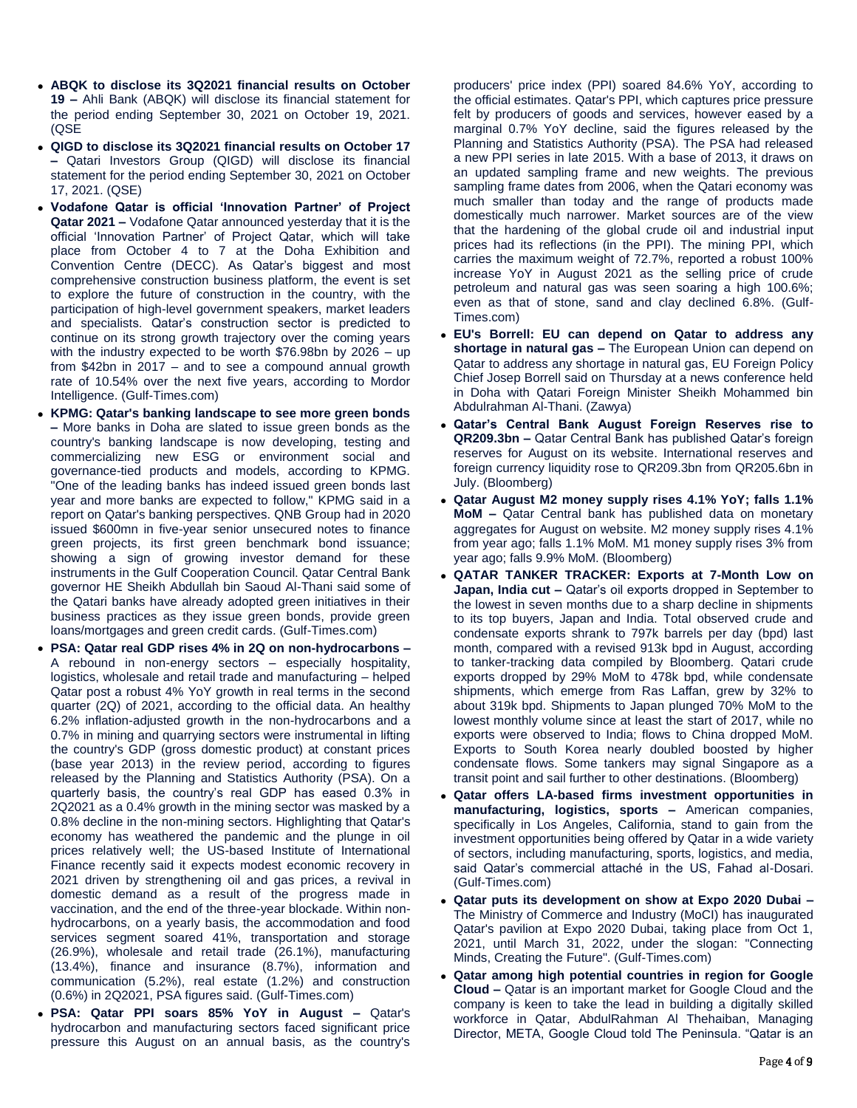- **ABQK to disclose its 3Q2021 financial results on October 19 –** Ahli Bank (ABQK) will disclose its financial statement for the period ending September 30, 2021 on October 19, 2021. (QSE
- **QIGD to disclose its 3Q2021 financial results on October 17 –** Qatari Investors Group (QIGD) will disclose its financial statement for the period ending September 30, 2021 on October 17, 2021. (QSE)
- **Vodafone Qatar is official 'Innovation Partner' of Project Qatar 2021 –** Vodafone Qatar announced yesterday that it is the official 'Innovation Partner' of Project Qatar, which will take place from October 4 to 7 at the Doha Exhibition and Convention Centre (DECC). As Qatar's biggest and most comprehensive construction business platform, the event is set to explore the future of construction in the country, with the participation of high-level government speakers, market leaders and specialists. Qatar's construction sector is predicted to continue on its strong growth trajectory over the coming years with the industry expected to be worth \$76.98bn by 2026 – up from \$42bn in 2017 – and to see a compound annual growth rate of 10.54% over the next five years, according to Mordor Intelligence. (Gulf-Times.com)
- **KPMG: Qatar's banking landscape to see more green bonds –** More banks in Doha are slated to issue green bonds as the country's banking landscape is now developing, testing and commercializing new ESG or environment social and governance-tied products and models, according to KPMG. "One of the leading banks has indeed issued green bonds last year and more banks are expected to follow," KPMG said in a report on Qatar's banking perspectives. QNB Group had in 2020 issued \$600mn in five-year senior unsecured notes to finance green projects, its first green benchmark bond issuance; showing a sign of growing investor demand for these instruments in the Gulf Cooperation Council. Qatar Central Bank governor HE Sheikh Abdullah bin Saoud Al-Thani said some of the Qatari banks have already adopted green initiatives in their business practices as they issue green bonds, provide green loans/mortgages and green credit cards. (Gulf-Times.com)
- **PSA: Qatar real GDP rises 4% in 2Q on non-hydrocarbons –** A rebound in non-energy sectors – especially hospitality, logistics, wholesale and retail trade and manufacturing – helped Qatar post a robust 4% YoY growth in real terms in the second quarter (2Q) of 2021, according to the official data. An healthy 6.2% inflation-adjusted growth in the non-hydrocarbons and a 0.7% in mining and quarrying sectors were instrumental in lifting the country's GDP (gross domestic product) at constant prices (base year 2013) in the review period, according to figures released by the Planning and Statistics Authority (PSA). On a quarterly basis, the country's real GDP has eased 0.3% in 2Q2021 as a 0.4% growth in the mining sector was masked by a 0.8% decline in the non-mining sectors. Highlighting that Qatar's economy has weathered the pandemic and the plunge in oil prices relatively well; the US-based Institute of International Finance recently said it expects modest economic recovery in 2021 driven by strengthening oil and gas prices, a revival in domestic demand as a result of the progress made in vaccination, and the end of the three-year blockade. Within nonhydrocarbons, on a yearly basis, the accommodation and food services segment soared 41%, transportation and storage (26.9%), wholesale and retail trade (26.1%), manufacturing (13.4%), finance and insurance (8.7%), information and communication (5.2%), real estate (1.2%) and construction (0.6%) in 2Q2021, PSA figures said. (Gulf-Times.com)
- **PSA: Qatar PPI soars 85% YoY in August –** Qatar's hydrocarbon and manufacturing sectors faced significant price pressure this August on an annual basis, as the country's

producers' price index (PPI) soared 84.6% YoY, according to the official estimates. Qatar's PPI, which captures price pressure felt by producers of goods and services, however eased by a marginal 0.7% YoY decline, said the figures released by the Planning and Statistics Authority (PSA). The PSA had released a new PPI series in late 2015. With a base of 2013, it draws on an updated sampling frame and new weights. The previous sampling frame dates from 2006, when the Qatari economy was much smaller than today and the range of products made domestically much narrower. Market sources are of the view that the hardening of the global crude oil and industrial input prices had its reflections (in the PPI). The mining PPI, which carries the maximum weight of 72.7%, reported a robust 100% increase YoY in August 2021 as the selling price of crude petroleum and natural gas was seen soaring a high 100.6%; even as that of stone, sand and clay declined 6.8%. (Gulf-Times.com)

- **EU's Borrell: EU can depend on Qatar to address any shortage in natural gas –** The European Union can depend on Qatar to address any shortage in natural gas, EU Foreign Policy Chief Josep Borrell said on Thursday at a news conference held in Doha with Qatari Foreign Minister Sheikh Mohammed bin Abdulrahman Al-Thani. (Zawya)
- **Qatar's Central Bank August Foreign Reserves rise to QR209.3bn –** Qatar Central Bank has published Qatar's foreign reserves for August on its website. International reserves and foreign currency liquidity rose to QR209.3bn from QR205.6bn in July. (Bloomberg)
- **Qatar August M2 money supply rises 4.1% YoY; falls 1.1% MoM –** Qatar Central bank has published data on monetary aggregates for August on website. M2 money supply rises 4.1% from year ago; falls 1.1% MoM. M1 money supply rises 3% from year ago; falls 9.9% MoM. (Bloomberg)
- **QATAR TANKER TRACKER: Exports at 7-Month Low on Japan, India cut –** Qatar's oil exports dropped in September to the lowest in seven months due to a sharp decline in shipments to its top buyers, Japan and India. Total observed crude and condensate exports shrank to 797k barrels per day (bpd) last month, compared with a revised 913k bpd in August, according to tanker-tracking data compiled by Bloomberg. Qatari crude exports dropped by 29% MoM to 478k bpd, while condensate shipments, which emerge from Ras Laffan, grew by 32% to about 319k bpd. Shipments to Japan plunged 70% MoM to the lowest monthly volume since at least the start of 2017, while no exports were observed to India; flows to China dropped MoM. Exports to South Korea nearly doubled boosted by higher condensate flows. Some tankers may signal Singapore as a transit point and sail further to other destinations. (Bloomberg)
- **Qatar offers LA-based firms investment opportunities in manufacturing, logistics, sports –** American companies, specifically in Los Angeles, California, stand to gain from the investment opportunities being offered by Qatar in a wide variety of sectors, including manufacturing, sports, logistics, and media, said Qatar's commercial attaché in the US, Fahad al-Dosari. (Gulf-Times.com)
- **Qatar puts its development on show at Expo 2020 Dubai –** The Ministry of Commerce and Industry (MoCI) has inaugurated Qatar's pavilion at Expo 2020 Dubai, taking place from Oct 1, 2021, until March 31, 2022, under the slogan: "Connecting Minds, Creating the Future". (Gulf-Times.com)
- **Qatar among high potential countries in region for Google Cloud –** Qatar is an important market for Google Cloud and the company is keen to take the lead in building a digitally skilled workforce in Qatar, AbdulRahman Al Thehaiban, Managing Director, META, Google Cloud told The Peninsula. "Qatar is an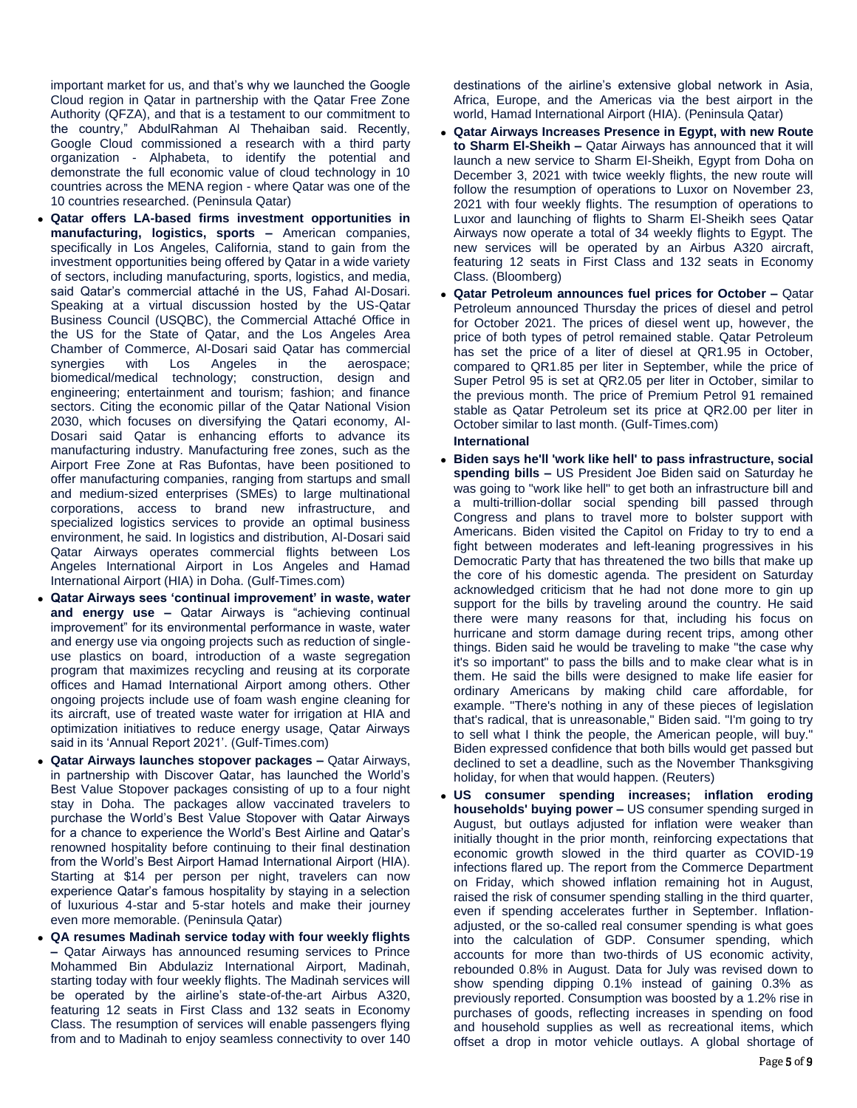important market for us, and that's why we launched the Google Cloud region in Qatar in partnership with the Qatar Free Zone Authority (QFZA), and that is a testament to our commitment to the country," AbdulRahman Al Thehaiban said. Recently, Google Cloud commissioned a research with a third party organization - Alphabeta, to identify the potential and demonstrate the full economic value of cloud technology in 10 countries across the MENA region - where Qatar was one of the 10 countries researched. (Peninsula Qatar)

- **Qatar offers LA-based firms investment opportunities in manufacturing, logistics, sports –** American companies, specifically in Los Angeles, California, stand to gain from the investment opportunities being offered by Qatar in a wide variety of sectors, including manufacturing, sports, logistics, and media, said Qatar's commercial attaché in the US, Fahad Al-Dosari. Speaking at a virtual discussion hosted by the US-Qatar Business Council (USQBC), the Commercial Attaché Office in the US for the State of Qatar, and the Los Angeles Area Chamber of Commerce, Al-Dosari said Qatar has commercial with Los Angeles in the aerospace; biomedical/medical technology; construction, design and engineering; entertainment and tourism; fashion; and finance sectors. Citing the economic pillar of the Qatar National Vision 2030, which focuses on diversifying the Qatari economy, Al-Dosari said Qatar is enhancing efforts to advance its manufacturing industry. Manufacturing free zones, such as the Airport Free Zone at Ras Bufontas, have been positioned to offer manufacturing companies, ranging from startups and small and medium-sized enterprises (SMEs) to large multinational corporations, access to brand new infrastructure, and specialized logistics services to provide an optimal business environment, he said. In logistics and distribution, Al-Dosari said Qatar Airways operates commercial flights between Los Angeles International Airport in Los Angeles and Hamad International Airport (HIA) in Doha. (Gulf-Times.com)
- **Qatar Airways sees 'continual improvement' in waste, water and energy use –** Qatar Airways is "achieving continual improvement" for its environmental performance in waste, water and energy use via ongoing projects such as reduction of singleuse plastics on board, introduction of a waste segregation program that maximizes recycling and reusing at its corporate offices and Hamad International Airport among others. Other ongoing projects include use of foam wash engine cleaning for its aircraft, use of treated waste water for irrigation at HIA and optimization initiatives to reduce energy usage, Qatar Airways said in its 'Annual Report 2021'. (Gulf-Times.com)
- **Qatar Airways launches stopover packages –** Qatar Airways, in partnership with Discover Qatar, has launched the World's Best Value Stopover packages consisting of up to a four night stay in Doha. The packages allow vaccinated travelers to purchase the World's Best Value Stopover with Qatar Airways for a chance to experience the World's Best Airline and Qatar's renowned hospitality before continuing to their final destination from the World's Best Airport Hamad International Airport (HIA). Starting at \$14 per person per night, travelers can now experience Qatar's famous hospitality by staying in a selection of luxurious 4-star and 5-star hotels and make their journey even more memorable. (Peninsula Qatar)
- **QA resumes Madinah service today with four weekly flights –** Qatar Airways has announced resuming services to Prince Mohammed Bin Abdulaziz International Airport, Madinah, starting today with four weekly flights. The Madinah services will be operated by the airline's state-of-the-art Airbus A320, featuring 12 seats in First Class and 132 seats in Economy Class. The resumption of services will enable passengers flying from and to Madinah to enjoy seamless connectivity to over 140

destinations of the airline's extensive global network in Asia, Africa, Europe, and the Americas via the best airport in the world, Hamad International Airport (HIA). (Peninsula Qatar)

- **Qatar Airways Increases Presence in Egypt, with new Route to Sharm El-Sheikh –** Qatar Airways has announced that it will launch a new service to Sharm El-Sheikh, Egypt from Doha on December 3, 2021 with twice weekly flights, the new route will follow the resumption of operations to Luxor on November 23, 2021 with four weekly flights. The resumption of operations to Luxor and launching of flights to Sharm El-Sheikh sees Qatar Airways now operate a total of 34 weekly flights to Egypt. The new services will be operated by an Airbus A320 aircraft, featuring 12 seats in First Class and 132 seats in Economy Class. (Bloomberg)
- **Qatar Petroleum announces fuel prices for October –** Qatar Petroleum announced Thursday the prices of diesel and petrol for October 2021. The prices of diesel went up, however, the price of both types of petrol remained stable. Qatar Petroleum has set the price of a liter of diesel at QR1.95 in October, compared to QR1.85 per liter in September, while the price of Super Petrol 95 is set at QR2.05 per liter in October, similar to the previous month. The price of Premium Petrol 91 remained stable as Qatar Petroleum set its price at QR2.00 per liter in October similar to last month. (Gulf-Times.com)
	- **International**
- **Biden says he'll 'work like hell' to pass infrastructure, social spending bills –** US President Joe Biden said on Saturday he was going to "work like hell" to get both an infrastructure bill and a multi-trillion-dollar social spending bill passed through Congress and plans to travel more to bolster support with Americans. Biden visited the Capitol on Friday to try to end a fight between moderates and left-leaning progressives in his Democratic Party that has threatened the two bills that make up the core of his domestic agenda. The president on Saturday acknowledged criticism that he had not done more to gin up support for the bills by traveling around the country. He said there were many reasons for that, including his focus on hurricane and storm damage during recent trips, among other things. Biden said he would be traveling to make "the case why it's so important" to pass the bills and to make clear what is in them. He said the bills were designed to make life easier for ordinary Americans by making child care affordable, for example. "There's nothing in any of these pieces of legislation that's radical, that is unreasonable," Biden said. "I'm going to try to sell what I think the people, the American people, will buy." Biden expressed confidence that both bills would get passed but declined to set a deadline, such as the November Thanksgiving holiday, for when that would happen. (Reuters)
- **US consumer spending increases; inflation eroding households' buying power –** US consumer spending surged in August, but outlays adjusted for inflation were weaker than initially thought in the prior month, reinforcing expectations that economic growth slowed in the third quarter as COVID-19 infections flared up. The report from the Commerce Department on Friday, which showed inflation remaining hot in August, raised the risk of consumer spending stalling in the third quarter, even if spending accelerates further in September. Inflationadjusted, or the so-called real consumer spending is what goes into the calculation of GDP. Consumer spending, which accounts for more than two-thirds of US economic activity, rebounded 0.8% in August. Data for July was revised down to show spending dipping 0.1% instead of gaining 0.3% as previously reported. Consumption was boosted by a 1.2% rise in purchases of goods, reflecting increases in spending on food and household supplies as well as recreational items, which offset a drop in motor vehicle outlays. A global shortage of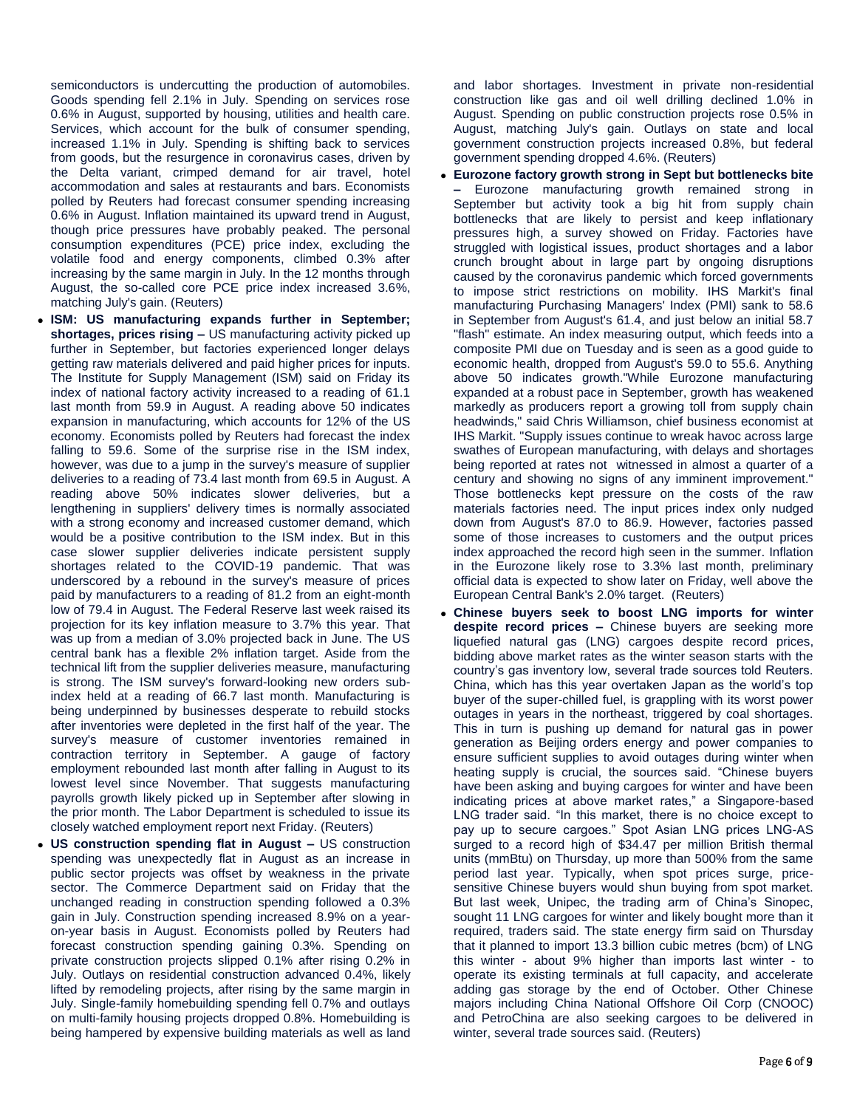semiconductors is undercutting the production of automobiles. Goods spending fell 2.1% in July. Spending on services rose 0.6% in August, supported by housing, utilities and health care. Services, which account for the bulk of consumer spending, increased 1.1% in July. Spending is shifting back to services from goods, but the resurgence in coronavirus cases, driven by the Delta variant, crimped demand for air travel, hotel accommodation and sales at restaurants and bars. Economists polled by Reuters had forecast consumer spending increasing 0.6% in August. Inflation maintained its upward trend in August, though price pressures have probably peaked. The personal consumption expenditures (PCE) price index, excluding the volatile food and energy components, climbed 0.3% after increasing by the same margin in July. In the 12 months through August, the so-called core PCE price index increased 3.6%, matching July's gain. (Reuters)

- **ISM: US manufacturing expands further in September; shortages, prices rising –** US manufacturing activity picked up further in September, but factories experienced longer delays getting raw materials delivered and paid higher prices for inputs. The Institute for Supply Management (ISM) said on Friday its index of national factory activity increased to a reading of 61.1 last month from 59.9 in August. A reading above 50 indicates expansion in manufacturing, which accounts for 12% of the US economy. Economists polled by Reuters had forecast the index falling to 59.6. Some of the surprise rise in the ISM index, however, was due to a jump in the survey's measure of supplier deliveries to a reading of 73.4 last month from 69.5 in August. A reading above 50% indicates slower deliveries, but a lengthening in suppliers' delivery times is normally associated with a strong economy and increased customer demand, which would be a positive contribution to the ISM index. But in this case slower supplier deliveries indicate persistent supply shortages related to the COVID-19 pandemic. That was underscored by a rebound in the survey's measure of prices paid by manufacturers to a reading of 81.2 from an eight-month low of 79.4 in August. The Federal Reserve last week raised its projection for its key inflation measure to 3.7% this year. That was up from a median of 3.0% projected back in June. The US central bank has a flexible 2% inflation target. Aside from the technical lift from the supplier deliveries measure, manufacturing is strong. The ISM survey's forward-looking new orders subindex held at a reading of 66.7 last month. Manufacturing is being underpinned by businesses desperate to rebuild stocks after inventories were depleted in the first half of the year. The survey's measure of customer inventories remained in contraction territory in September. A gauge of factory employment rebounded last month after falling in August to its lowest level since November. That suggests manufacturing payrolls growth likely picked up in September after slowing in the prior month. The Labor Department is scheduled to issue its closely watched employment report next Friday. (Reuters)
- **US construction spending flat in August –** US construction spending was unexpectedly flat in August as an increase in public sector projects was offset by weakness in the private sector. The Commerce Department said on Friday that the unchanged reading in construction spending followed a 0.3% gain in July. Construction spending increased 8.9% on a yearon-year basis in August. Economists polled by Reuters had forecast construction spending gaining 0.3%. Spending on private construction projects slipped 0.1% after rising 0.2% in July. Outlays on residential construction advanced 0.4%, likely lifted by remodeling projects, after rising by the same margin in July. Single-family homebuilding spending fell 0.7% and outlays on multi-family housing projects dropped 0.8%. Homebuilding is being hampered by expensive building materials as well as land

and labor shortages. Investment in private non-residential construction like gas and oil well drilling declined 1.0% in August. Spending on public construction projects rose 0.5% in August, matching July's gain. Outlays on state and local government construction projects increased 0.8%, but federal government spending dropped 4.6%. (Reuters)

- **Eurozone factory growth strong in Sept but bottlenecks bite –** Eurozone manufacturing growth remained strong in September but activity took a big hit from supply chain bottlenecks that are likely to persist and keep inflationary pressures high, a survey showed on Friday. Factories have struggled with logistical issues, product shortages and a labor crunch brought about in large part by ongoing disruptions caused by the coronavirus pandemic which forced governments to impose strict restrictions on mobility. IHS Markit's final manufacturing Purchasing Managers' Index (PMI) sank to 58.6 in September from August's 61.4, and just below an initial 58.7 "flash" estimate. An index measuring output, which feeds into a composite PMI due on Tuesday and is seen as a good guide to economic health, dropped from August's 59.0 to 55.6. Anything above 50 indicates growth."While Eurozone manufacturing expanded at a robust pace in September, growth has weakened markedly as producers report a growing toll from supply chain headwinds," said Chris Williamson, chief business economist at IHS Markit. "Supply issues continue to wreak havoc across large swathes of European manufacturing, with delays and shortages being reported at rates not witnessed in almost a quarter of a century and showing no signs of any imminent improvement." Those bottlenecks kept pressure on the costs of the raw materials factories need. The input prices index only nudged down from August's 87.0 to 86.9. However, factories passed some of those increases to customers and the output prices index approached the record high seen in the summer. Inflation in the Eurozone likely rose to 3.3% last month, preliminary official data is expected to show later on Friday, well above the European Central Bank's 2.0% target. (Reuters)
- **Chinese buyers seek to boost LNG imports for winter despite record prices –** Chinese buyers are seeking more liquefied natural gas (LNG) cargoes despite record prices, bidding above market rates as the winter season starts with the country's gas inventory low, several trade sources told Reuters. China, which has this year overtaken Japan as the world's top buyer of the super-chilled fuel, is grappling with its worst power outages in years in the northeast, triggered by coal shortages. This in turn is pushing up demand for natural gas in power generation as Beijing orders energy and power companies to ensure sufficient supplies to avoid outages during winter when heating supply is crucial, the sources said. "Chinese buyers have been asking and buying cargoes for winter and have been indicating prices at above market rates," a Singapore-based LNG trader said. "In this market, there is no choice except to pay up to secure cargoes." Spot Asian LNG prices LNG-AS surged to a record high of \$34.47 per million British thermal units (mmBtu) on Thursday, up more than 500% from the same period last year. Typically, when spot prices surge, pricesensitive Chinese buyers would shun buying from spot market. But last week, Unipec, the trading arm of China's Sinopec, sought 11 LNG cargoes for winter and likely bought more than it required, traders said. The state energy firm said on Thursday that it planned to import 13.3 billion cubic metres (bcm) of LNG this winter - about 9% higher than imports last winter - to operate its existing terminals at full capacity, and accelerate adding gas storage by the end of October. Other Chinese majors including China National Offshore Oil Corp (CNOOC) and PetroChina are also seeking cargoes to be delivered in winter, several trade sources said. (Reuters)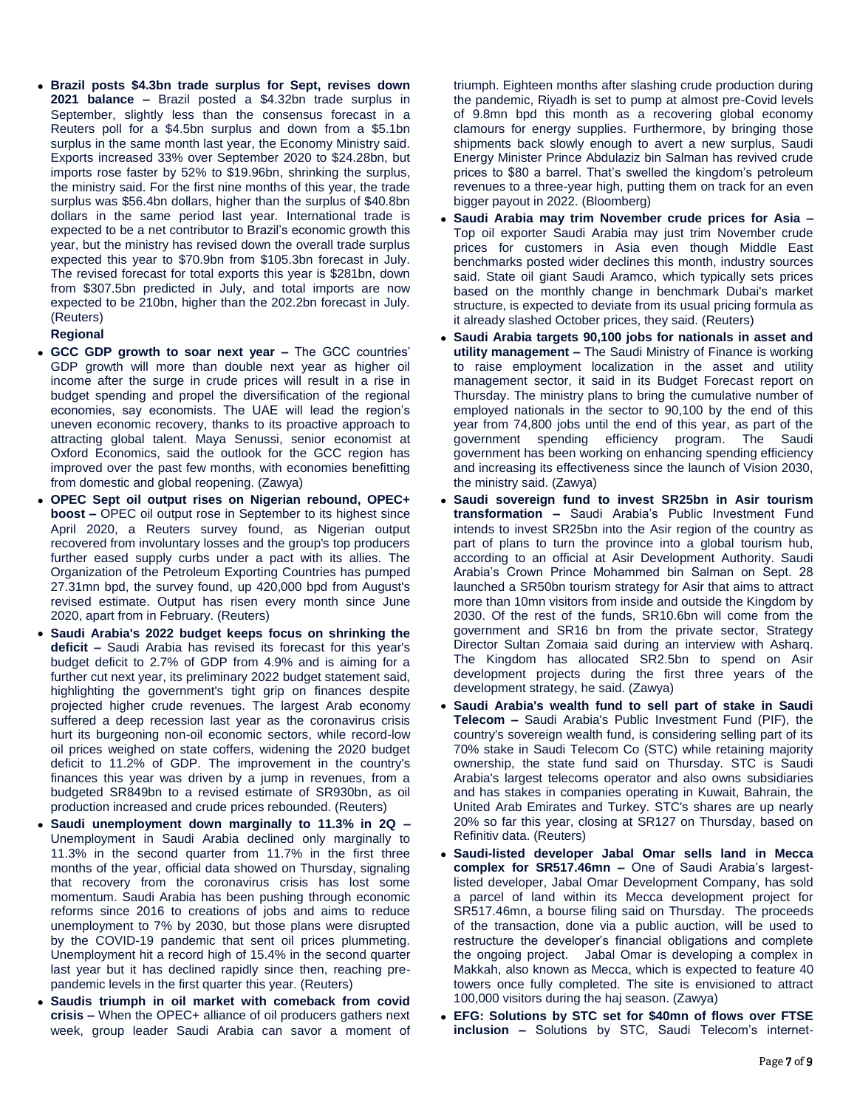**Brazil posts \$4.3bn trade surplus for Sept, revises down 2021 balance –** Brazil posted a \$4.32bn trade surplus in September, slightly less than the consensus forecast in a Reuters poll for a \$4.5bn surplus and down from a \$5.1bn surplus in the same month last year, the Economy Ministry said. Exports increased 33% over September 2020 to \$24.28bn, but imports rose faster by 52% to \$19.96bn, shrinking the surplus, the ministry said. For the first nine months of this year, the trade surplus was \$56.4bn dollars, higher than the surplus of \$40.8bn dollars in the same period last year. International trade is expected to be a net contributor to Brazil's economic growth this year, but the ministry has revised down the overall trade surplus expected this year to \$70.9bn from \$105.3bn forecast in July. The revised forecast for total exports this year is \$281bn, down from \$307.5bn predicted in July, and total imports are now expected to be 210bn, higher than the 202.2bn forecast in July. (Reuters)

# **Regional**

- **GCC GDP growth to soar next year –** The GCC countries' GDP growth will more than double next year as higher oil income after the surge in crude prices will result in a rise in budget spending and propel the diversification of the regional economies, say economists. The UAE will lead the region's uneven economic recovery, thanks to its proactive approach to attracting global talent. Maya Senussi, senior economist at Oxford Economics, said the outlook for the GCC region has improved over the past few months, with economies benefitting from domestic and global reopening. (Zawya)
- **OPEC Sept oil output rises on Nigerian rebound, OPEC+ boost –** OPEC oil output rose in September to its highest since April 2020, a Reuters survey found, as Nigerian output recovered from involuntary losses and the group's top producers further eased supply curbs under a pact with its allies. The Organization of the Petroleum Exporting Countries has pumped 27.31mn bpd, the survey found, up 420,000 bpd from August's revised estimate. Output has risen every month since June 2020, apart from in February. (Reuters)
- **Saudi Arabia's 2022 budget keeps focus on shrinking the deficit –** Saudi Arabia has revised its forecast for this year's budget deficit to 2.7% of GDP from 4.9% and is aiming for a further cut next year, its preliminary 2022 budget statement said, highlighting the government's tight grip on finances despite projected higher crude revenues. The largest Arab economy suffered a deep recession last year as the coronavirus crisis hurt its burgeoning non-oil economic sectors, while record-low oil prices weighed on state coffers, widening the 2020 budget deficit to 11.2% of GDP. The improvement in the country's finances this year was driven by a jump in revenues, from a budgeted SR849bn to a revised estimate of SR930bn, as oil production increased and crude prices rebounded. (Reuters)
- **Saudi unemployment down marginally to 11.3% in 2Q –** Unemployment in Saudi Arabia declined only marginally to 11.3% in the second quarter from 11.7% in the first three months of the year, official data showed on Thursday, signaling that recovery from the coronavirus crisis has lost some momentum. Saudi Arabia has been pushing through economic reforms since 2016 to creations of jobs and aims to reduce unemployment to 7% by 2030, but those plans were disrupted by the COVID-19 pandemic that sent oil prices plummeting. Unemployment hit a record high of 15.4% in the second quarter last year but it has declined rapidly since then, reaching prepandemic levels in the first quarter this year. (Reuters)
- **Saudis triumph in oil market with comeback from covid crisis –** When the OPEC+ alliance of oil producers gathers next week, group leader Saudi Arabia can savor a moment of

triumph. Eighteen months after slashing crude production during the pandemic, Riyadh is set to pump at almost pre-Covid levels of 9.8mn bpd this month as a recovering global economy clamours for energy supplies. Furthermore, by bringing those shipments back slowly enough to avert a new surplus, Saudi Energy Minister Prince Abdulaziz bin Salman has revived crude prices to \$80 a barrel. That's swelled the kingdom's petroleum revenues to a three-year high, putting them on track for an even bigger payout in 2022. (Bloomberg)

- **Saudi Arabia may trim November crude prices for Asia –** Top oil exporter Saudi Arabia may just trim November crude prices for customers in Asia even though Middle East benchmarks posted wider declines this month, industry sources said. State oil giant Saudi Aramco, which typically sets prices based on the monthly change in benchmark Dubai's market structure, is expected to deviate from its usual pricing formula as it already slashed October prices, they said. (Reuters)
- **Saudi Arabia targets 90,100 jobs for nationals in asset and utility management –** The Saudi Ministry of Finance is working to raise employment localization in the asset and utility management sector, it said in its Budget Forecast report on Thursday. The ministry plans to bring the cumulative number of employed nationals in the sector to 90,100 by the end of this year from 74,800 jobs until the end of this year, as part of the government spending efficiency program. The Saudi government has been working on enhancing spending efficiency and increasing its effectiveness since the launch of Vision 2030, the ministry said. (Zawya)
- **Saudi sovereign fund to invest SR25bn in Asir tourism transformation –** Saudi Arabia's Public Investment Fund intends to invest SR25bn into the Asir region of the country as part of plans to turn the province into a global tourism hub, according to an official at Asir Development Authority. Saudi Arabia's Crown Prince Mohammed bin Salman on Sept. 28 launched a SR50bn tourism strategy for Asir that aims to attract more than 10mn visitors from inside and outside the Kingdom by 2030. Of the rest of the funds, SR10.6bn will come from the government and SR16 bn from the private sector, Strategy Director Sultan Zomaia said during an interview with Asharq. The Kingdom has allocated SR2.5bn to spend on Asir development projects during the first three years of the development strategy, he said. (Zawya)
- **Saudi Arabia's wealth fund to sell part of stake in Saudi Telecom –** Saudi Arabia's Public Investment Fund (PIF), the country's sovereign wealth fund, is considering selling part of its 70% stake in Saudi Telecom Co (STC) while retaining majority ownership, the state fund said on Thursday. STC is Saudi Arabia's largest telecoms operator and also owns subsidiaries and has stakes in companies operating in Kuwait, Bahrain, the United Arab Emirates and Turkey. STC's shares are up nearly 20% so far this year, closing at SR127 on Thursday, based on Refinitiv data. (Reuters)
- **Saudi-listed developer Jabal Omar sells land in Mecca complex for SR517.46mn –** One of Saudi Arabia's largestlisted developer, Jabal Omar Development Company, has sold a parcel of land within its Mecca development project for SR517.46mn, a bourse filing said on Thursday. The proceeds of the transaction, done via a public auction, will be used to restructure the developer's financial obligations and complete the ongoing project. Jabal Omar is developing a complex in Makkah, also known as Mecca, which is expected to feature 40 towers once fully completed. The site is envisioned to attract 100,000 visitors during the haj season. (Zawya)
- **EFG: Solutions by STC set for \$40mn of flows over FTSE inclusion –** Solutions by STC, Saudi Telecom's internet-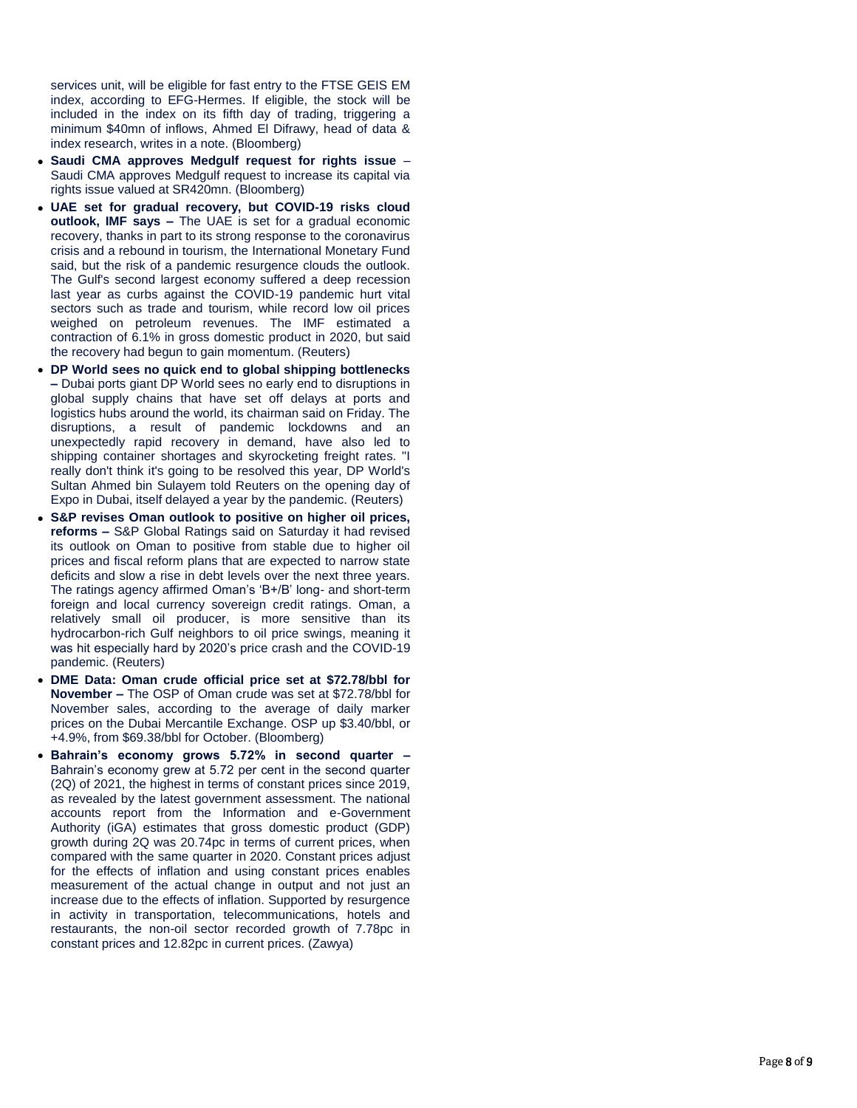services unit, will be eligible for fast entry to the FTSE GEIS EM index, according to EFG -Hermes. If eligible, the stock will be included in the index on its fifth day of trading, triggering a minimum \$40mn of inflows, Ahmed El Difrawy, head of data & index research, writes in a note. (Bloomberg)

- **Saudi CMA approves Medgulf request for rights issue** Saudi CMA approves Medgulf request to increase its capital via rights issue valued at SR420mn. (Bloomberg)
- **UAE set for gradual recovery, but COVID -19 risks cloud outlook, IMF says –** The UAE is set for a gradual economic recovery, thanks in part to its strong response to the coronavirus crisis and a rebound in tourism, the International Monetary Fund said, but the risk of a pandemic resurgence clouds the outlook. The Gulf's second largest economy suffered a deep recession last year as curbs against the COVID -19 pandemic hurt vital sectors such as trade and tourism, while record low oil prices weighed on petroleum revenues. The IMF estimated a contraction of 6.1% in gross domestic product in 2020, but said the recovery had begun to gain momentum. (Reuters)
- **DP World sees no quick end to global shipping bottlenecks –** Dubai ports giant DP World sees no early end to disruptions in global supply chains that have set off delays at ports and logistics hubs around the world, its chairman said on Friday. The disruptions, a result of pandemic lockdowns and an unexpectedly rapid recovery in demand, have also led to shipping container shortages and skyrocketing freight rates. "I really don't think it's going to be resolved this year, DP World's Sultan Ahmed bin Sulayem told Reuters on the opening day of Expo in Dubai, itself delayed a year by the pandemic. (Reuters)
- **S&P revises Oman outlook to positive on higher oil prices, reforms –** S&P Global Ratings said on Saturday it had revised its outlook on Oman to positive from stable due to higher oil prices and fiscal reform plans that are expected to narrow state deficits and slow a rise in debt levels over the next three years. The ratings agency affirmed Oman's 'B+/B' long - and short -term foreign and local currency sovereign credit ratings. Oman, a relatively small oil producer, is more sensitive than its hydrocarbon -rich Gulf neighbors to oil price swings, meaning it was hit especially hard by 2020's price crash and the COVID -19 pandemic. (Reuters)
- **DME Data: Oman crude official price set at \$72.78/bbl for November –** The OSP of Oman crude was set at \$72.78/bbl for November sales, according to the average of daily marker prices on the Dubai Mercantile Exchange. OSP up \$3.40/bbl, or +4.9%, from \$69.38/bbl for October. (Bloomberg)
- **Bahrain's economy grows 5.72% in second quarter –** Bahrain's economy grew at 5.72 per cent in the second quarter (2Q) of 2021, the highest in terms of constant prices since 2019, as revealed by the latest government assessment. The national accounts report from the Information and e -Government Authority (iGA) estimates that gross domestic product (GDP) growth during 2Q was 20.74pc in terms of current prices, when compared with the same quarter in 2020. Constant prices adjust for the effects of inflation and using constant prices enables measurement of the actual change in output and not just an increase due to the effects of inflation. Supported by resurgence in activity in transportation, telecommunications, hotels and restaurants, the non -oil sector recorded growth of 7.78pc in constant prices and 12.82pc in current prices. (Zawya)